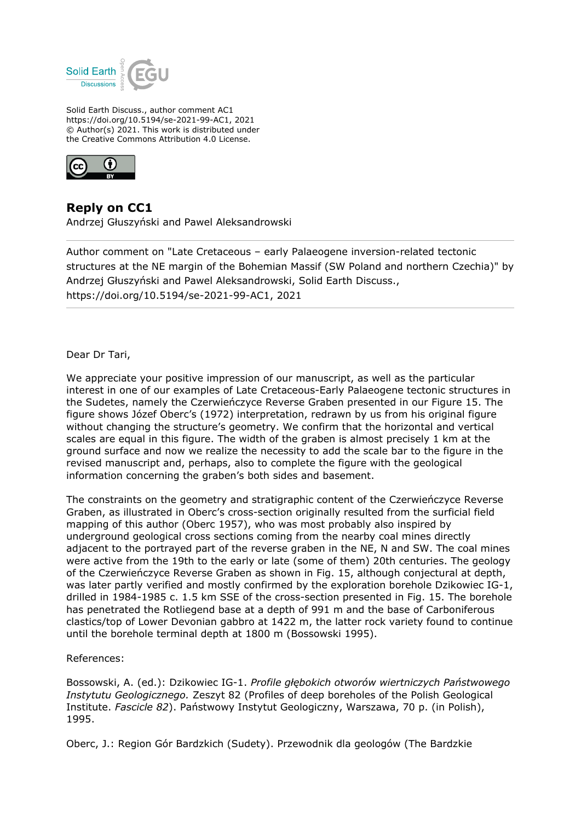

Solid Earth Discuss., author comment AC1 https://doi.org/10.5194/se-2021-99-AC1, 2021 © Author(s) 2021. This work is distributed under the Creative Commons Attribution 4.0 License.



**Reply on CC1**

Andrzej Głuszyński and Pawel Aleksandrowski

Author comment on "Late Cretaceous – early Palaeogene inversion-related tectonic structures at the NE margin of the Bohemian Massif (SW Poland and northern Czechia)" by Andrzej Głuszyński and Pawel Aleksandrowski, Solid Earth Discuss., https://doi.org/10.5194/se-2021-99-AC1, 2021

Dear Dr Tari,

We appreciate your positive impression of our manuscript, as well as the particular interest in one of our examples of Late Cretaceous-Early Palaeogene tectonic structures in the Sudetes, namely the Czerwieńczyce Reverse Graben presented in our Figure 15. The figure shows Józef Oberc's (1972) interpretation, redrawn by us from his original figure without changing the structure's geometry. We confirm that the horizontal and vertical scales are equal in this figure. The width of the graben is almost precisely 1 km at the ground surface and now we realize the necessity to add the scale bar to the figure in the revised manuscript and, perhaps, also to complete the figure with the geological information concerning the graben's both sides and basement.

The constraints on the geometry and stratigraphic content of the Czerwieńczyce Reverse Graben, as illustrated in Oberc's cross-section originally resulted from the surficial field mapping of this author (Oberc 1957), who was most probably also inspired by underground geological cross sections coming from the nearby coal mines directly adjacent to the portrayed part of the reverse graben in the NE, N and SW. The coal mines were active from the 19th to the early or late (some of them) 20th centuries. The geology of the Czerwieńczyce Reverse Graben as shown in Fig. 15, although conjectural at depth, was later partly verified and mostly confirmed by the exploration borehole Dzikowiec IG-1, drilled in 1984-1985 c. 1.5 km SSE of the cross-section presented in Fig. 15. The borehole has penetrated the Rotliegend base at a depth of 991 m and the base of Carboniferous clastics/top of Lower Devonian gabbro at 1422 m, the latter rock variety found to continue until the borehole terminal depth at 1800 m (Bossowski 1995).

References:

Bossowski, A. (ed.): Dzikowiec IG-1. *Profile głębokich otworów wiertniczych Państwowego Instytutu Geologicznego.* Zeszyt 82 (Profiles of deep boreholes of the Polish Geological Institute. *Fascicle 82*). Państwowy Instytut Geologiczny, Warszawa, 70 p. (in Polish), 1995.

Oberc, J.: Region Gór Bardzkich (Sudety). Przewodnik dla geologów (The Bardzkie